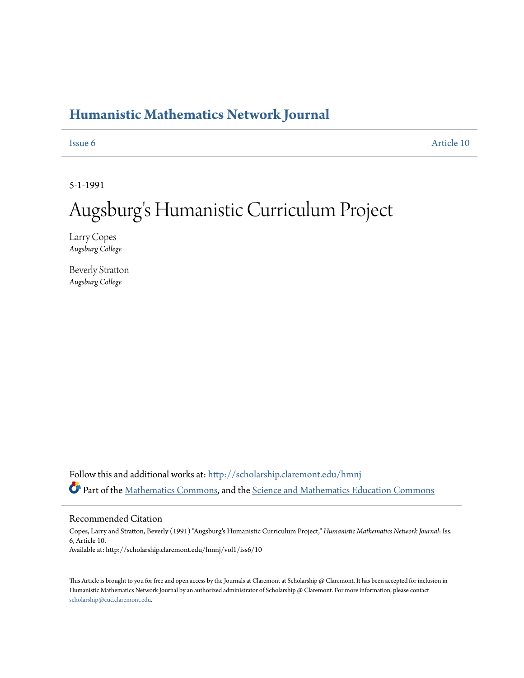## **[Humanistic Mathematics Network Journal](http://scholarship.claremont.edu/hmnj?utm_source=scholarship.claremont.edu%2Fhmnj%2Fvol1%2Fiss6%2F10&utm_medium=PDF&utm_campaign=PDFCoverPages)**

[Issue 6](http://scholarship.claremont.edu/hmnj/vol1/iss6?utm_source=scholarship.claremont.edu%2Fhmnj%2Fvol1%2Fiss6%2F10&utm_medium=PDF&utm_campaign=PDFCoverPages) [Article 10](http://scholarship.claremont.edu/hmnj/vol1/iss6/10?utm_source=scholarship.claremont.edu%2Fhmnj%2Fvol1%2Fiss6%2F10&utm_medium=PDF&utm_campaign=PDFCoverPages)

5-1-1991

# Augsburg 's Humanistic Curriculum Project

Larry Copes *Augsburg College*

Beverly Stratton *Augsburg College*

Follow this and additional works at: [http://scholarship.claremont.edu/hmnj](http://scholarship.claremont.edu/hmnj?utm_source=scholarship.claremont.edu%2Fhmnj%2Fvol1%2Fiss6%2F10&utm_medium=PDF&utm_campaign=PDFCoverPages) Part of the [Mathematics Commons](http://network.bepress.com/hgg/discipline/174?utm_source=scholarship.claremont.edu%2Fhmnj%2Fvol1%2Fiss6%2F10&utm_medium=PDF&utm_campaign=PDFCoverPages), and the [Science and Mathematics Education Commons](http://network.bepress.com/hgg/discipline/800?utm_source=scholarship.claremont.edu%2Fhmnj%2Fvol1%2Fiss6%2F10&utm_medium=PDF&utm_campaign=PDFCoverPages)

### Recommended Citation

Copes, Larry and Stratton, Beverly (1991) "Augsburg's Humanistic Curriculum Project," *Humanistic Mathematics Network Journal*: Iss. 6, Article 10. Available at: http://scholarship.claremont.edu/hmnj/vol1/iss6/10

This Article is brought to you for free and open access by the Journals at Claremont at Scholarship @ Claremont. It has been accepted for inclusion in Humanistic Mathematics Network Journal by an authorized administrator of Scholarship @ Claremont. For more information, please contact [scholarship@cuc.claremont.edu.](mailto:scholarship@cuc.claremont.edu)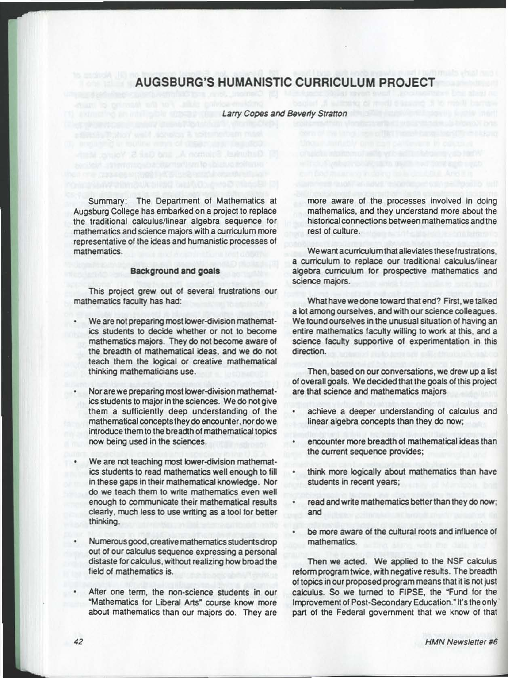## AUGSBURG'S HUMANISTIC CURRICULUM PROJECT

Larry Copes and Beverly Stratton

Summary: The Department of Mathematics at Augsburg College has embarked on a project to replace the traditional calculus/linear algebra sequence for mathematics and science majors with a curriculum more representative of the ideas and humanistic processes of mathematics.

## Background and goals

This project grew out of several frustrations our mathematics faculty has had:

- We are not preparing most lower-division mathematics students to decide whether or not to become mathematics majors. They do not become aware of the breadth of mathematical ideas. and we do not teach them the logical or creative mathematical thinking mathematicians use.
- Nor are we preparing most lower-division mathematics students to major in the sciences. We do not give them a sufficiently deep understanding of the mathematical concepts they do encounter, nor do we introduce them to the breadth of mathematical topics row being used in the sciences.
- We are not teaching most lower-division mathematics students to read mathematics well enough to fill in these gaps in their mathematical knowledge. Nor do we teach them to write mathematics even well enough to communicate their mathematical results clearly, much less to use writing as a tool for better thinking.
- Numerous good, creative mathematics students drop out of our calculus sequence expressing a personal distaste for calculus, without realizing how broad the field of mathematics is.
- After one term, the non-science students in our "Mathematics tor liberal Arts" course know more about mathematics than our majors do. They are

more aware of the processes involved in doing mathematics. and they understand more about the historical connections between mathematics and the rest of culture.

We want a curriculum that alleviates these frustrations. a curriculum to replace our traditional calculus/linear algebra curriculum for prospective mathematics and science majors.

What have we done toward that end? First, we talked a lot among ourselves, and with our science colleagues. We found ourselves in the unusual situation of having an entire mathematics faculty willing to work at this, and a science faculty supportive ot experimentation in this direction.

Then, based on our conversations, we drew up a list of overall goals. We decided that the goals of this project are that science and mathematics majors

- achieve a deeper understanding of calculus and linear algebra concepts than they do now;
- encounter more breadth of mathematical ideas than the current sequence provides;
- think more logically about mathematics than have students in recent years;
- read and write mathematics better than they do now; and
- be more aware of the cultural roots and influence of mathematics.

Then we acted. We applied to the NSF calculus reform program twice, with negative results. The breadth of topics in our proposed program means that it is not just calculus. So we turned to FIPSE. the "Fund for the Improvement of Post-Secondary Education." It's the only part of the Federal government that we know of that

-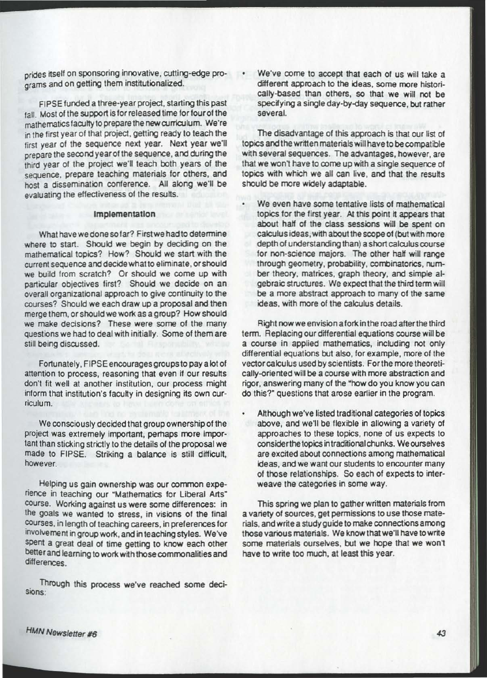prides itself on sponsoring innovative, cutting-edge programs and on getting them institutionalized.

FIPSE funded a three -year project, starting this past fall. Most of the support is for released time for four of the mathematics faculty to prepare the new curriculum. We're in the first year of that project, getting ready to teach the first year of the sequence next year. Next year we'll prepare the second year of the sequence, and during the third year of the project we'll teach both years of the sequence, prepare teaching materials for others, and host a dissemination conference. All along we'll be evaluating the effectiveness of the results.

#### Implementation

What havewe done so far? Firstwe had to determine where to start. Should we begin by deciding on the mathematical topics? How? Should we start with the current sequence and decide what to eliminate, or should we build from scratch? Or should we come up with particular objectives first? Should we decide on an overall organizational approach to give continuity to the courses? Should we each draw up a proposal and then merge them. or should we work as a group? How should we make decisions? These were some of the many questions we had to deal with initially. Some of them are still being discussed.

Fortunately, FIPSE encourages groups to pay a lot of attention to process, reasoning that even if our results don't fit well at another institution, our process might inform that institution's faculty in designing its own curriculum.

We consciously decided that group ownership of the project was extremely important, perhaps more important than sticking strictly to the details of the proposal we made to FIPSE. Striking a balance is still difficult, however.

Helping us gain ownership was our common experience in teaching our "Mathematics for Liberal Arts" course. Working against us were some differences: in the goals we wanted to stress. in visions of the final courses, in length of teaching careers. in preferences for involvement in groupwork, and in teaching styles. We've spent a great deal of time getting to know each other better and Ieaming to work with those commonalities and differences.

. Through this process we've reached some deci-SIOns:

We've come to accept that each of us will take a different approach to the ideas, some more historically-based than others. so that we will not be specifying a single day -by-day sequence, but rather several.

The disadvantage of this approach is that our list of topics and the written materials will have to be compatible with several sequences. The advantages, however, are that we won't have to come up with a single sequence of topics with which we all can live, and that the results should be more widely adaptable.

We even have some tentative lists of mathematical topics for the first year. At this point it appears that about half of the class sessions will be spent on calculus ideas.with about the scope of (but with more depth of understanding than) a short calculus course for non-science majors. The other half will range through geometry, probability, combinatorics, number theory, matrices, graph theory, and simple algebraic structures. We expect that the third term will be a more abstract approach to many of the same ideas, with more of the calculus details.

Right nowwe envision afork in the road atterthe third term. Replacing our differential equations course will be a course in applied mathematics, including not only differential equations but also, for example. more of the vector calculus used by scientists, Forthe more theoretically-oriented will be a course with more abstraction and rigor, answering many of the "how do you know you can do this?" questions that arose earlier in the program.

Although we've listed traditional categories of topics above, and we'll be flexible in allowing a variety of approaches to these topics. none of us expects to considerthe topics intraditional chunks . We ourselves are excited about connections among mathematical ideas, and we want our students to encounter many of those relationships. So each of expects to interweave the categories in some way.

This spring we plan to gather written materials from a variety of sources, get permissions to use those materials, and write a study guide to make connections among those various materials. We know that we'll have to write some materials ourselves. but we hope that we won't have to write too much. at least this year.